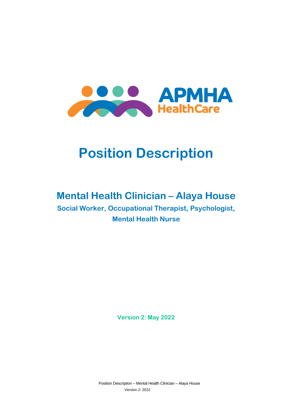

# **Position Description**

# **Mental Health Clinician – Alaya House**

**Social Worker, Occupational Therapist, Psychologist, Mental Health Nurse**

**Version 2: May 2022**

Position Description – Mental Health Clinician – Alaya House Version 2: 2022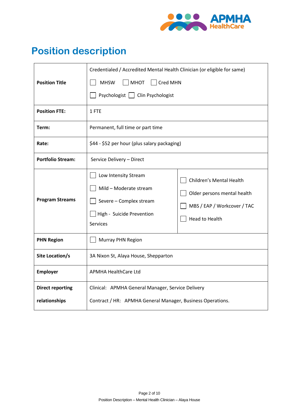

# **Position description**

|                          | Credentialed / Accredited Mental Health Clinician (or eligible for same)                                                  |                                                                                                                 |
|--------------------------|---------------------------------------------------------------------------------------------------------------------------|-----------------------------------------------------------------------------------------------------------------|
| <b>Position Title</b>    | <b>MHSW</b><br><b>MHOT</b><br>Cred MHN                                                                                    |                                                                                                                 |
|                          | Psychologist   Clin Psychologist                                                                                          |                                                                                                                 |
| <b>Position FTE:</b>     | 1 FTE                                                                                                                     |                                                                                                                 |
| Term:                    | Permanent, full time or part time                                                                                         |                                                                                                                 |
| Rate:                    | \$44 - \$52 per hour (plus salary packaging)                                                                              |                                                                                                                 |
| <b>Portfolio Stream:</b> | Service Delivery - Direct                                                                                                 |                                                                                                                 |
| <b>Program Streams</b>   | Low Intensity Stream<br>Mild - Moderate stream<br>Severe - Complex stream<br>High - Suicide Prevention<br><b>Services</b> | Children's Mental Health<br>Older persons mental health<br>MBS / EAP / Workcover / TAC<br><b>Head to Health</b> |
| <b>PHN Region</b>        | Murray PHN Region                                                                                                         |                                                                                                                 |
| Site Location/s          | 3A Nixon St, Alaya House, Shepparton                                                                                      |                                                                                                                 |
| <b>Employer</b>          | <b>APMHA HealthCare Ltd</b>                                                                                               |                                                                                                                 |
| <b>Direct reporting</b>  | Clinical: APMHA General Manager, Service Delivery                                                                         |                                                                                                                 |
| relationships            | Contract / HR: APMHA General Manager, Business Operations.                                                                |                                                                                                                 |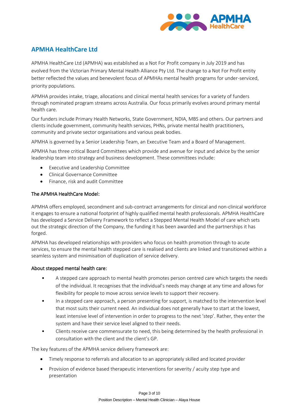

### **APMHA HealthCare Ltd**

APMHA HealthCare Ltd (APMHA) was established as a Not For Profit company in July 2019 and has evolved from the Victorian Primary Mental Health Alliance Pty Ltd. The change to a Not For Profit entity better reflected the values and benevolent focus of APMHAs mental health programs for under-serviced, priority populations.

APMHA provides intake, triage, allocations and clinical mental health services for a variety of funders through nominated program streams across Australia. Our focus primarily evolves around primary mental health care.

Our funders include Primary Health Networks, State Government, NDIA, MBS and others. Our partners and clients include government, community health services, PHNs, private mental health practitioners, community and private sector organisations and various peak bodies.

APMHA is governed by a Senior Leadership Team, an Executive Team and a Board of Management.

APMHA has three critical Board Committees which provide and avenue for input and advice by the senior leadership team into strategy and business development. These committees include:

- Executive and Leadership Committee
- Clinical Governance Committee
- Finance, risk and audit Committee

#### The APMHA HealthCare Model:

APMHA offers employed, secondment and sub-contract arrangements for clinical and non-clinical workforce it engages to ensure a national footprint of highly qualified mental health professionals. APMHA HealthCare has developed a Service Delivery Framework to reflect a Stepped Mental Health Model of care which sets out the strategic direction of the Company, the funding it has been awarded and the partnerships it has forged.

APMHA has developed relationships with providers who focus on health promotion through to acute services, to ensure the mental health stepped care is realised and clients are linked and transitioned within a seamless system and minimisation of duplication of service delivery.

#### About stepped mental health care:

- A stepped care approach to mental health promotes person centred care which targets the needs of the individual. It recognises that the individual's needs may change at any time and allows for flexibility for people to move across service levels to support their recovery.
- In a stepped care approach, a person presenting for support, is matched to the intervention level that most suits their current need. An individual does not generally have to start at the lowest, least intensive level of intervention in order to progress to the next 'step'. Rather, they enter the system and have their service level aligned to their needs.
- Clients receive care commensurate to need, this being determined by the health professional in consultation with the client and the client's GP.

The key features of the APMHA service delivery framework are:

- Timely response to referrals and allocation to an appropriately skilled and located provider
- Provision of evidence based therapeutic interventions for severity / acuity step type and presentation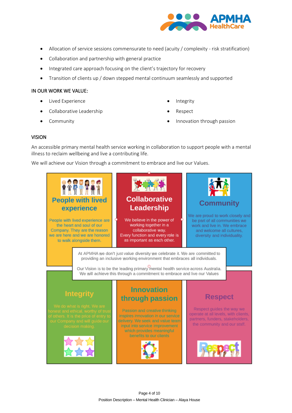

- Allocation of service sessions commensurate to need (acuity / complexity risk stratification)
- Collaboration and partnership with general practice
- Integrated care approach focusing on the client's trajectory for recovery
- Transition of clients up / down stepped mental continuum seamlessly and supported

#### IN OUR WORK WE VALUE:

- Lived Experience
- Collaborative Leadership
- **Community**
- **Integrity**
- Respect
- Innovation through passion

#### VISION

An accessible primary mental health service working in collaboration to support people with a mental illness to reclaim wellbeing and live a contributing life.

We will achieve our Vision through a commitment to embrace and live our Values.

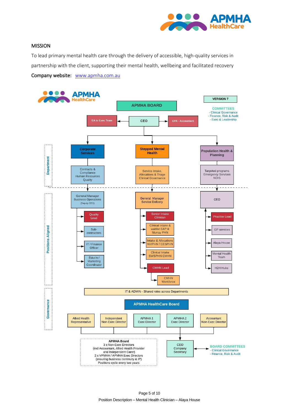

#### MISSION

To lead primary mental health care through the delivery of accessible, high-quality services in partnership with the client, supporting their mental health, wellbeing and facilitated recovery Company website: [www.apmha.com.au](http://www.apmha.com.au/)

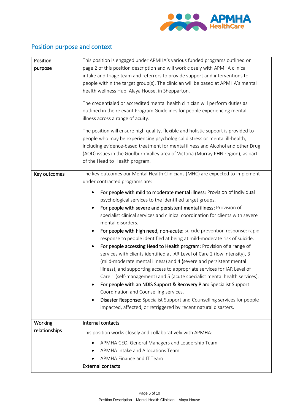

### Position purpose and context

| Position<br>purpose | This position is engaged under APMHA's various funded programs outlined on<br>page 2 of this position description and will work closely with APMHA clinical                                                                                                                                                                                                                                                                                                                                                                                                                                                                                                                                                                                                                                                                                                                                                                                                                                                                                                                                                                                      |
|---------------------|--------------------------------------------------------------------------------------------------------------------------------------------------------------------------------------------------------------------------------------------------------------------------------------------------------------------------------------------------------------------------------------------------------------------------------------------------------------------------------------------------------------------------------------------------------------------------------------------------------------------------------------------------------------------------------------------------------------------------------------------------------------------------------------------------------------------------------------------------------------------------------------------------------------------------------------------------------------------------------------------------------------------------------------------------------------------------------------------------------------------------------------------------|
|                     | intake and triage team and referrers to provide support and interventions to<br>people within the target group(s). The clinician will be based at APMHA's mental<br>health wellness Hub, Alaya House, in Shepparton.                                                                                                                                                                                                                                                                                                                                                                                                                                                                                                                                                                                                                                                                                                                                                                                                                                                                                                                             |
|                     | The credentialed or accredited mental health clinician will perform duties as<br>outlined in the relevant Program Guidelines for people experiencing mental<br>illness across a range of acuity.                                                                                                                                                                                                                                                                                                                                                                                                                                                                                                                                                                                                                                                                                                                                                                                                                                                                                                                                                 |
|                     | The position will ensure high quality, flexible and holistic support is provided to<br>people who may be experiencing psychological distress or mental ill-health,<br>including evidence-based treatment for mental illness and Alcohol and other Drug<br>(AOD) issues in the Goulburn Valley area of Victoria (Murray PHN region), as part<br>of the Head to Health program.                                                                                                                                                                                                                                                                                                                                                                                                                                                                                                                                                                                                                                                                                                                                                                    |
| Key outcomes        | The key outcomes our Mental Health Clinicians (MHC) are expected to implement<br>under contracted programs are:                                                                                                                                                                                                                                                                                                                                                                                                                                                                                                                                                                                                                                                                                                                                                                                                                                                                                                                                                                                                                                  |
|                     | For people with mild to moderate mental illness: Provision of individual<br>psychological services to the identified target groups.<br>For people with severe and persistent mental illness: Provision of<br>$\bullet$<br>specialist clinical services and clinical coordination for clients with severe<br>mental disorders.<br>For people with high need, non-acute: suicide prevention response: rapid<br>response to people identified at being at mild-moderate risk of suicide.<br>For people accessing Head to Health program: Provision of a range of<br>٠<br>services with clients identified at IAR Level of Care 2 (low intensity), 3<br>(mild-moderate mental illness) and 4 (severe and persistent mental<br>illness), and supporting access to appropriate services for IAR Level of<br>Care 1 (self-management) and 5 (acute specialist mental health services).<br>For people with an NDIS Support & Recovery Plan: Specialist Support<br>Coordination and Counselling services.<br>Disaster Response: Specialist Support and Counselling services for people<br>impacted, affected, or retriggered by recent natural disasters. |
| Working             | Internal contacts                                                                                                                                                                                                                                                                                                                                                                                                                                                                                                                                                                                                                                                                                                                                                                                                                                                                                                                                                                                                                                                                                                                                |
| relationships       | This position works closely and collaboratively with APMHA:                                                                                                                                                                                                                                                                                                                                                                                                                                                                                                                                                                                                                                                                                                                                                                                                                                                                                                                                                                                                                                                                                      |
|                     | APMHA CEO, General Managers and Leadership Team<br>APMHA Intake and Allocations Team<br>APMHA Finance and IT Team<br><b>External contacts</b>                                                                                                                                                                                                                                                                                                                                                                                                                                                                                                                                                                                                                                                                                                                                                                                                                                                                                                                                                                                                    |
|                     |                                                                                                                                                                                                                                                                                                                                                                                                                                                                                                                                                                                                                                                                                                                                                                                                                                                                                                                                                                                                                                                                                                                                                  |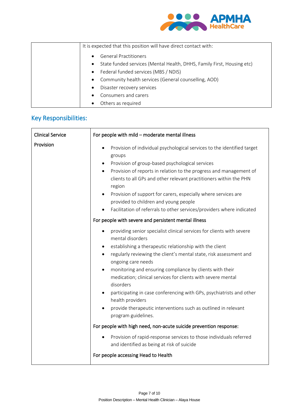

| It is expected that this position will have direct contact with:                    |
|-------------------------------------------------------------------------------------|
| <b>General Practitioners</b><br>$\bullet$                                           |
| State funded services (Mental Health, DHHS, Family First, Housing etc)<br>$\bullet$ |
| Federal funded services (MBS / NDIS)<br>$\bullet$                                   |
| • Community health services (General counselling, AOD)                              |
| Disaster recovery services<br>$\bullet$                                             |
| Consumers and carers<br>$\bullet$                                                   |
| Others as required                                                                  |

# Key Responsibilities:

| <b>Clinical Service</b> | For people with mild - moderate mental illness                                                                                                                                                                                                                                                                                                                                                                                                                                                                                                                                              |  |
|-------------------------|---------------------------------------------------------------------------------------------------------------------------------------------------------------------------------------------------------------------------------------------------------------------------------------------------------------------------------------------------------------------------------------------------------------------------------------------------------------------------------------------------------------------------------------------------------------------------------------------|--|
| Provision               | Provision of individual psychological services to the identified target<br>groups<br>Provision of group-based psychological services<br>Provision of reports in relation to the progress and management of<br>clients to all GPs and other relevant practitioners within the PHN<br>region<br>Provision of support for carers, especially where services are<br>$\bullet$<br>provided to children and young people<br>Facilitation of referrals to other services/providers where indicated                                                                                                 |  |
|                         | For people with severe and persistent mental illness                                                                                                                                                                                                                                                                                                                                                                                                                                                                                                                                        |  |
|                         | providing senior specialist clinical services for clients with severe<br>mental disorders<br>establishing a therapeutic relationship with the client<br>regularly reviewing the client's mental state, risk assessment and<br>ongoing care needs<br>monitoring and ensuring compliance by clients with their<br>$\bullet$<br>medication; clinical services for clients with severe mental<br>disorders<br>participating in case conferencing with GPs, psychiatrists and other<br>health providers<br>provide therapeutic interventions such as outlined in relevant<br>program guidelines. |  |
|                         | For people with high need, non-acute suicide prevention response:                                                                                                                                                                                                                                                                                                                                                                                                                                                                                                                           |  |
|                         | Provision of rapid-response services to those individuals referred<br>and identified as being at risk of suicide                                                                                                                                                                                                                                                                                                                                                                                                                                                                            |  |
|                         | For people accessing Head to Health                                                                                                                                                                                                                                                                                                                                                                                                                                                                                                                                                         |  |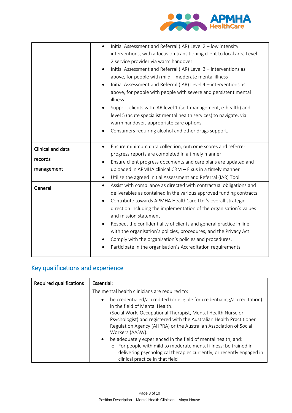

|                                            | Initial Assessment and Referral (IAR) Level 2 - low intensity<br>interventions, with a focus on transitioning client to local area Level<br>2 service provider via warm handover<br>Initial Assessment and Referral (IAR) Level 3 - interventions as<br>$\bullet$<br>above, for people with mild - moderate mental illness<br>Initial Assessment and Referral (IAR) Level 4 - interventions as<br>above, for people with people with severe and persistent mental                                                                                                                                            |
|--------------------------------------------|--------------------------------------------------------------------------------------------------------------------------------------------------------------------------------------------------------------------------------------------------------------------------------------------------------------------------------------------------------------------------------------------------------------------------------------------------------------------------------------------------------------------------------------------------------------------------------------------------------------|
|                                            | illness.<br>Support clients with IAR level 1 (self-management, e-health) and<br>level 5 (acute specialist mental health services) to navigate, via<br>warm handover, appropriate care options.<br>Consumers requiring alcohol and other drugs support.                                                                                                                                                                                                                                                                                                                                                       |
| Clinical and data<br>records<br>management | Ensure minimum data collection, outcome scores and referrer<br>$\bullet$<br>progress reports are completed in a timely manner<br>Ensure client progress documents and care plans are updated and<br>uploaded in APMHA clinical CRM - Fixus in a timely manner<br>Utilize the agreed Initial Assessment and Referral (IAR) Tool<br>$\bullet$                                                                                                                                                                                                                                                                  |
| General                                    | Assist with compliance as directed with contractual obligations and<br>$\bullet$<br>deliverables as contained in the various approved funding contracts<br>Contribute towards APMHA HealthCare Ltd.'s overall strategic<br>$\bullet$<br>direction including the implementation of the organisation's values<br>and mission statement<br>Respect the confidentiality of clients and general practice in line<br>with the organisation's policies, procedures, and the Privacy Act<br>Comply with the organisation's policies and procedures.<br>Participate in the organisation's Accreditation requirements. |

## Key qualifications and experience

| <b>Required qualifications</b> | Essential:                                                                                                                                                                                                                                                                                                                           |  |
|--------------------------------|--------------------------------------------------------------------------------------------------------------------------------------------------------------------------------------------------------------------------------------------------------------------------------------------------------------------------------------|--|
|                                | The mental health clinicians are required to:                                                                                                                                                                                                                                                                                        |  |
|                                | be credentialed/accredited (or eligible for credentialing/accreditation)<br>$\bullet$<br>in the field of Mental Health.<br>(Social Work, Occupational Therapist, Mental Health Nurse or<br>Psychologist) and registered with the Australian Health Practitioner<br>Regulation Agency (AHPRA) or the Australian Association of Social |  |
|                                | Workers (AASW).<br>be adequately experienced in the field of mental health, and:<br>$\bullet$<br>o For people with mild to moderate mental illness: be trained in<br>delivering psychological therapies currently, or recently engaged in<br>clinical practice in that field                                                         |  |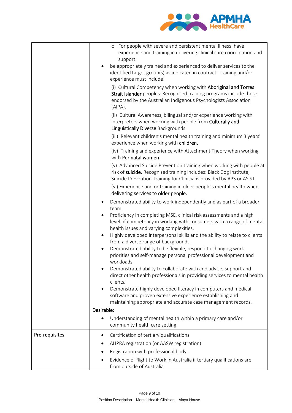

|                | o For people with severe and persistent mental illness: have                                                                                                                                                         |
|----------------|----------------------------------------------------------------------------------------------------------------------------------------------------------------------------------------------------------------------|
|                | experience and training in delivering clinical care coordination and<br>support                                                                                                                                      |
|                | be appropriately trained and experienced to deliver services to the<br>identified target group(s) as indicated in contract. Training and/or<br>experience must include:                                              |
|                | (i) Cultural Competency when working with Aboriginal and Torres<br>Strait Islander peoples. Recognised training programs include those<br>endorsed by the Australian Indigenous Psychologists Association<br>(AIPA). |
|                | (ii) Cultural Awareness, bilingual and/or experience working with<br>interpreters when working with people from Culturally and<br>Linguistically Diverse Backgrounds.                                                |
|                | (iii) Relevant children's mental health training and minimum 3 years'<br>experience when working with children.                                                                                                      |
|                | (iv) Training and experience with Attachment Theory when working<br>with Perinatal women.                                                                                                                            |
|                | (v) Advanced Suicide Prevention training when working with people at<br>risk of suicide. Recognised training includes: Black Dog Institute,<br>Suicide Prevention Training for Clinicians provided by APS or ASIST.  |
|                | (vi) Experience and or training in older people's mental health when<br>delivering services to older people.                                                                                                         |
|                | Demonstrated ability to work independently and as part of a broader<br>٠<br>team.                                                                                                                                    |
|                | Proficiency in completing MSE, clinical risk assessments and a high<br>$\bullet$<br>level of competency in working with consumers with a range of mental<br>health issues and varying complexities.                  |
|                | Highly developed interpersonal skills and the ability to relate to clients<br>$\bullet$<br>from a diverse range of backgrounds.                                                                                      |
|                | Demonstrated ability to be flexible, respond to changing work<br>$\bullet$<br>priorities and self-manage personal professional development and<br>workloads.                                                         |
|                | Demonstrated ability to collaborate with and advise, support and<br>direct other health professionals in providing services to mental health<br>clients.                                                             |
|                | Demonstrate highly developed literacy in computers and medical<br>$\bullet$<br>software and proven extensive experience establishing and<br>maintaining appropriate and accurate case management records.            |
|                | Desirable:                                                                                                                                                                                                           |
|                | Understanding of mental health within a primary care and/or<br>community health care setting.                                                                                                                        |
| Pre-requisites | Certification of tertiary qualifications<br>٠                                                                                                                                                                        |
|                | AHPRA registration (or AASW registration)                                                                                                                                                                            |
|                | Registration with professional body.                                                                                                                                                                                 |
|                | Evidence of Right to Work in Australia if tertiary qualifications are<br>from outside of Australia                                                                                                                   |